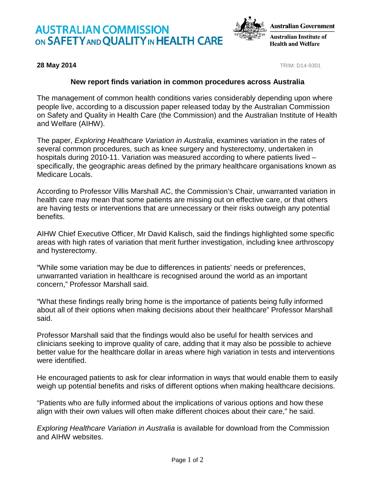# **AUSTRALIAN COMMISSION** ON SAFETY AND QUALITY IN HEALTH CARE



## **28 May 2014** TRIM: D14-9301

## **New report finds variation in common procedures across Australia**

The management of common health conditions varies considerably depending upon where people live, according to a discussion paper released today by the Australian Commission on Safety and Quality in Health Care (the Commission) and the Australian Institute of Health and Welfare (AIHW).

The paper, *Exploring Healthcare Variation in Australia*, examines variation in the rates of several common procedures, such as knee surgery and hysterectomy, undertaken in hospitals during 2010-11. Variation was measured according to where patients lived – specifically, the geographic areas defined by the primary healthcare organisations known as Medicare Locals.

According to Professor Villis Marshall AC, the Commission's Chair, unwarranted variation in health care may mean that some patients are missing out on effective care, or that others are having tests or interventions that are unnecessary or their risks outweigh any potential benefits.

AIHW Chief Executive Officer, Mr David Kalisch, said the findings highlighted some specific areas with high rates of variation that merit further investigation, including knee arthroscopy and hysterectomy.

"While some variation may be due to differences in patients' needs or preferences, unwarranted variation in healthcare is recognised around the world as an important concern," Professor Marshall said.

"What these findings really bring home is the importance of patients being fully informed about all of their options when making decisions about their healthcare" Professor Marshall said.

Professor Marshall said that the findings would also be useful for health services and clinicians seeking to improve quality of care, adding that it may also be possible to achieve better value for the healthcare dollar in areas where high variation in tests and interventions were identified.

He encouraged patients to ask for clear information in ways that would enable them to easily weigh up potential benefits and risks of different options when making healthcare decisions.

"Patients who are fully informed about the implications of various options and how these align with their own values will often make different choices about their care," he said.

*Exploring Healthcare Variation in Australia* is available for download from the Commission and AIHW websites.